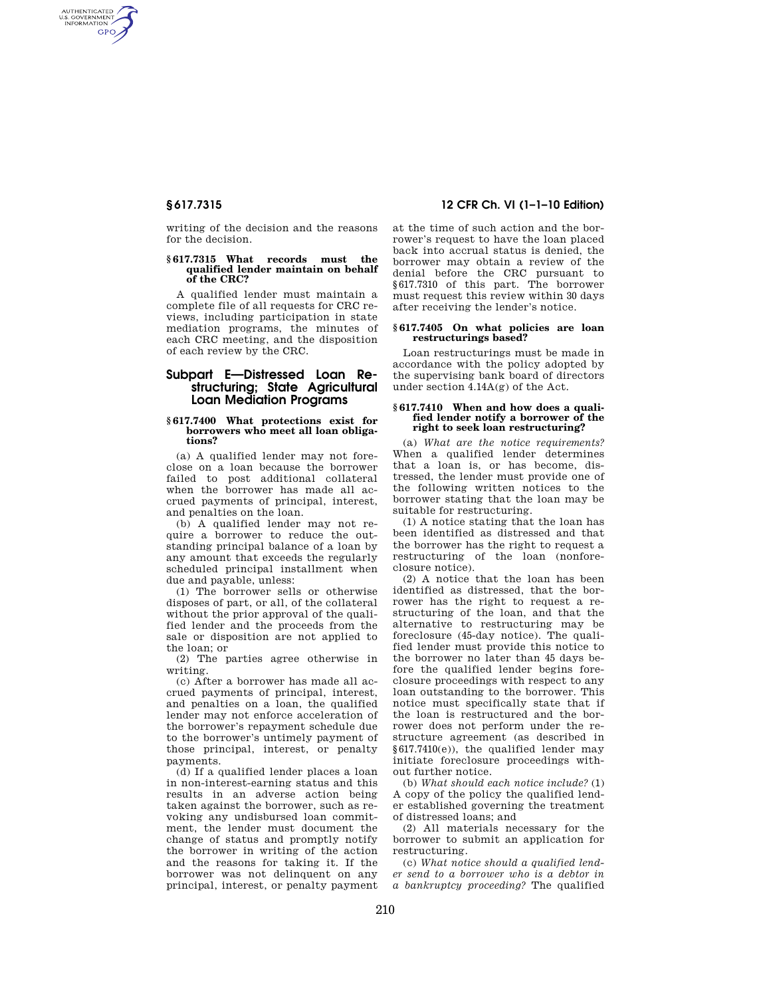AUTHENTICATED<br>U.S. GOVERNMENT<br>INFORMATION **GPO** 

> writing of the decision and the reasons for the decision.

# **§ 617.7315 What records must the qualified lender maintain on behalf of the CRC?**

A qualified lender must maintain a complete file of all requests for CRC reviews, including participation in state mediation programs, the minutes of each CRC meeting, and the disposition of each review by the CRC.

# **Subpart E—Distressed Loan Restructuring; State Agricultural Loan Mediation Programs**

#### **§ 617.7400 What protections exist for borrowers who meet all loan obligations?**

(a) A qualified lender may not foreclose on a loan because the borrower failed to post additional collateral when the borrower has made all accrued payments of principal, interest, and penalties on the loan.

(b) A qualified lender may not require a borrower to reduce the outstanding principal balance of a loan by any amount that exceeds the regularly scheduled principal installment when due and payable, unless:

(1) The borrower sells or otherwise disposes of part, or all, of the collateral without the prior approval of the qualified lender and the proceeds from the sale or disposition are not applied to the loan; or

(2) The parties agree otherwise in writing.

(c) After a borrower has made all accrued payments of principal, interest, and penalties on a loan, the qualified lender may not enforce acceleration of the borrower's repayment schedule due to the borrower's untimely payment of those principal, interest, or penalty payments.

(d) If a qualified lender places a loan in non-interest-earning status and this results in an adverse action being taken against the borrower, such as revoking any undisbursed loan commitment, the lender must document the change of status and promptly notify the borrower in writing of the action and the reasons for taking it. If the borrower was not delinquent on any principal, interest, or penalty payment

# **§ 617.7315 12 CFR Ch. VI (1–1–10 Edition)**

at the time of such action and the borrower's request to have the loan placed back into accrual status is denied, the borrower may obtain a review of the denial before the CRC pursuant to §617.7310 of this part. The borrower must request this review within 30 days after receiving the lender's notice.

### **§ 617.7405 On what policies are loan restructurings based?**

Loan restructurings must be made in accordance with the policy adopted by the supervising bank board of directors under section 4.14A(g) of the Act.

# **§ 617.7410 When and how does a qualified lender notify a borrower of the right to seek loan restructuring?**

(a) *What are the notice requirements?*  When a qualified lender determines that a loan is, or has become, distressed, the lender must provide one of the following written notices to the borrower stating that the loan may be suitable for restructuring.

(1) A notice stating that the loan has been identified as distressed and that the borrower has the right to request a restructuring of the loan (nonforeclosure notice).

(2) A notice that the loan has been identified as distressed, that the borrower has the right to request a restructuring of the loan, and that the alternative to restructuring may be foreclosure (45-day notice). The qualified lender must provide this notice to the borrower no later than 45 days before the qualified lender begins foreclosure proceedings with respect to any loan outstanding to the borrower. This notice must specifically state that if the loan is restructured and the borrower does not perform under the restructure agreement (as described in §617.7410(e)), the qualified lender may initiate foreclosure proceedings without further notice.

(b) *What should each notice include?* (1) A copy of the policy the qualified lender established governing the treatment of distressed loans; and

(2) All materials necessary for the borrower to submit an application for restructuring.

(c) *What notice should a qualified lender send to a borrower who is a debtor in a bankruptcy proceeding?* The qualified